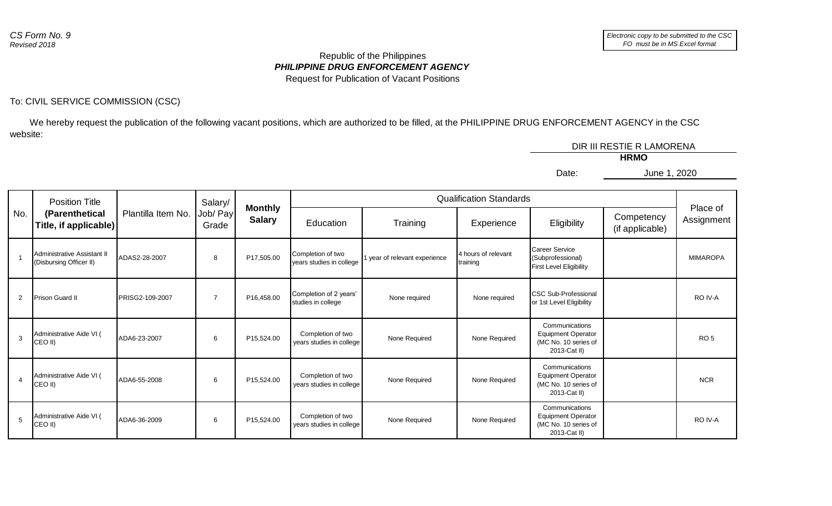## *PHILIPPINE DRUG ENFORCEMENT AGENCY* Republic of the Philippines Request for Publication of Vacant Positions

## To: CIVIL SERVICE COMMISSION (CSC)

 We hereby request the publication of the following vacant positions, which are authorized to be filled, at the PHILIPPINE DRUG ENFORCEMENT AGENCY in the CSC website:

|       | DIR III RESTIE R LAMORENA |  |  |
|-------|---------------------------|--|--|
|       | <b>HRMO</b>               |  |  |
| Date: | June 1, 2020              |  |  |
|       |                           |  |  |

| No.            | <b>Position Title</b><br>Plantilla Item No.<br>(Parenthetical<br>Title, if applicable) |                        | Salary/                         |            | <b>Qualification Standards</b>                |                             |                                 |                                                                                     |                        |                 |
|----------------|----------------------------------------------------------------------------------------|------------------------|---------------------------------|------------|-----------------------------------------------|-----------------------------|---------------------------------|-------------------------------------------------------------------------------------|------------------------|-----------------|
|                |                                                                                        | Job/ Pay<br>Grade      | <b>Monthly</b><br><b>Salary</b> | Education  | Training                                      | Experience                  | Eligibility                     | Competency<br>(if applicable)                                                       | Place of<br>Assignment |                 |
|                | Administrative Assistant II<br>(Disbursing Officer II)                                 | ADAS2-28-2007          | 8                               | P17,505.00 | Completion of two<br>years studies in college | year of relevant experience | 4 hours of relevant<br>training | Career Service<br>(Subprofessional)<br><b>First Level Eligibility</b>               |                        | <b>MIMAROPA</b> |
| $\overline{2}$ | <b>Prison Guard II</b>                                                                 | <b>PRISG2-109-2007</b> | $\overline{7}$                  | P16.458.00 | Completion of 2 years'<br>studies in college  | None required               | None required                   | <b>ICSC Sub-Professional</b><br>or 1st Level Eligibility                            |                        | RO IV-A         |
| $\mathcal{E}$  | Administrative Aide VI (<br>CEO II)                                                    | ADA6-23-2007           | 6                               | P15,524.00 | Completion of two<br>years studies in college | None Required               | None Required                   | Communications<br><b>Equipment Operator</b><br>(MC No. 10 series of<br>2013-Cat II) |                        | RO <sub>5</sub> |
| $\overline{4}$ | Administrative Aide VI (<br>CEO II)                                                    | ADA6-55-2008           | 6                               | P15,524.00 | Completion of two<br>years studies in college | None Required               | None Required                   | Communications<br><b>Equipment Operator</b><br>(MC No. 10 series of<br>2013-Cat II) |                        | <b>NCR</b>      |
| 5              | Administrative Aide VI (<br>CEO II)                                                    | ADA6-36-2009           | 6                               | P15.524.00 | Completion of two<br>years studies in college | None Required               | None Required                   | Communications<br><b>Equipment Operator</b><br>(MC No. 10 series of<br>2013-Cat II) |                        | RO IV-A         |